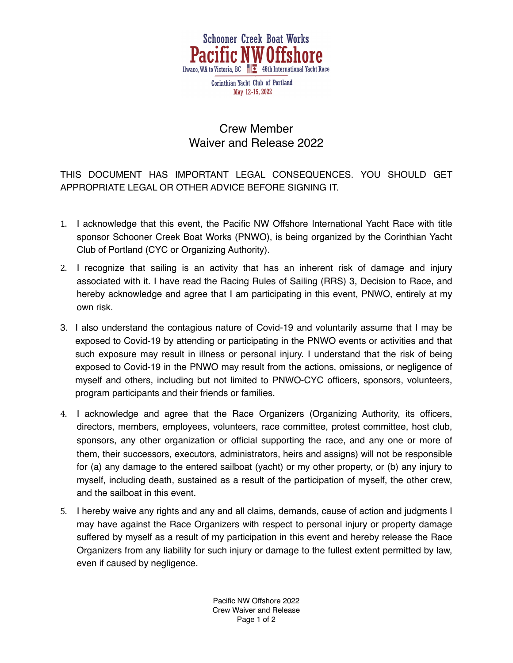

## Crew Member Waiver and Release 2022

THIS DOCUMENT HAS IMPORTANT LEGAL CONSEQUENCES. YOU SHOULD GET APPROPRIATE LEGAL OR OTHER ADVICE BEFORE SIGNING IT.

- 1. I acknowledge that this event, the Pacific NW Offshore International Yacht Race with title sponsor Schooner Creek Boat Works (PNWO), is being organized by the Corinthian Yacht Club of Portland (CYC or Organizing Authority).
- 2. I recognize that sailing is an activity that has an inherent risk of damage and injury associated with it. I have read the Racing Rules of Sailing (RRS) 3, Decision to Race, and hereby acknowledge and agree that I am participating in this event, PNWO, entirely at my own risk.
- 3. I also understand the contagious nature of Covid-19 and voluntarily assume that I may be exposed to Covid-19 by attending or participating in the PNWO events or activities and that such exposure may result in illness or personal injury. I understand that the risk of being exposed to Covid-19 in the PNWO may result from the actions, omissions, or negligence of myself and others, including but not limited to PNWO-CYC officers, sponsors, volunteers, program participants and their friends or families.
- 4. I acknowledge and agree that the Race Organizers (Organizing Authority, its officers, directors, members, employees, volunteers, race committee, protest committee, host club, sponsors, any other organization or official supporting the race, and any one or more of them, their successors, executors, administrators, heirs and assigns) will not be responsible for (a) any damage to the entered sailboat (yacht) or my other property, or (b) any injury to myself, including death, sustained as a result of the participation of myself, the other crew, and the sailboat in this event.
- 5. I hereby waive any rights and any and all claims, demands, cause of action and judgments I may have against the Race Organizers with respect to personal injury or property damage suffered by myself as a result of my participation in this event and hereby release the Race Organizers from any liability for such injury or damage to the fullest extent permitted by law, even if caused by negligence.

Pacific NW Offshore 2022 Crew Waiver and Release Page 1 of 2